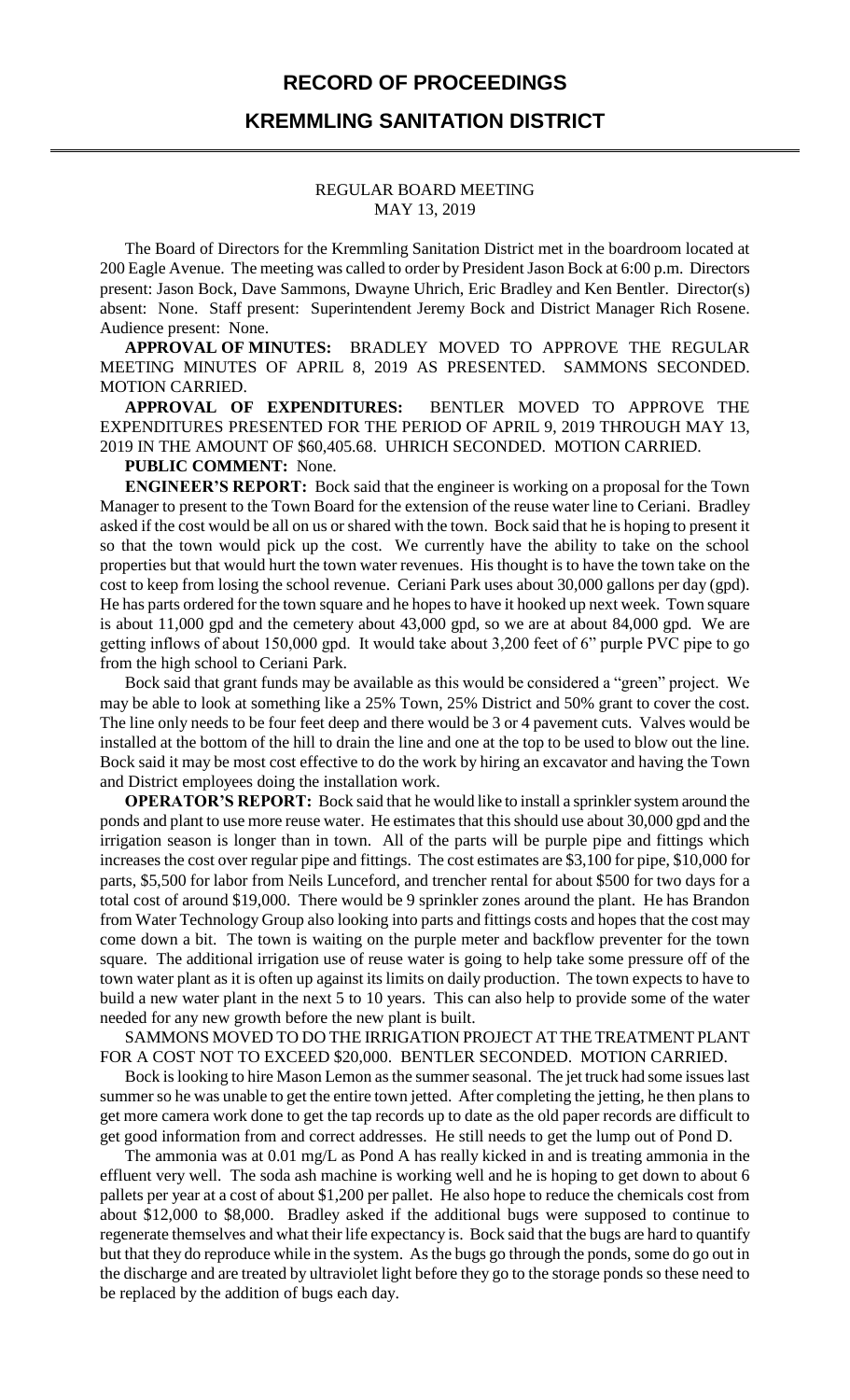## **RECORD OF PROCEEDINGS**

## **KREMMLING SANITATION DISTRICT**

## REGULAR BOARD MEETING MAY 13, 2019

The Board of Directors for the Kremmling Sanitation District met in the boardroom located at 200 Eagle Avenue. The meeting was called to order by President Jason Bock at 6:00 p.m. Directors present: Jason Bock, Dave Sammons, Dwayne Uhrich, Eric Bradley and Ken Bentler. Director(s) absent: None. Staff present: Superintendent Jeremy Bock and District Manager Rich Rosene. Audience present: None.

**APPROVAL OF MINUTES:** BRADLEY MOVED TO APPROVE THE REGULAR MEETING MINUTES OF APRIL 8, 2019 AS PRESENTED. SAMMONS SECONDED. MOTION CARRIED.

**APPROVAL OF EXPENDITURES:** BENTLER MOVED TO APPROVE THE EXPENDITURES PRESENTED FOR THE PERIOD OF APRIL 9, 2019 THROUGH MAY 13, 2019 IN THE AMOUNT OF \$60,405.68. UHRICH SECONDED. MOTION CARRIED.

**PUBLIC COMMENT:** None.

**ENGINEER'S REPORT:** Bock said that the engineer is working on a proposal for the Town Manager to present to the Town Board for the extension of the reuse water line to Ceriani. Bradley asked if the cost would be all on us or shared with the town. Bock said that he is hoping to present it so that the town would pick up the cost. We currently have the ability to take on the school properties but that would hurt the town water revenues. His thought is to have the town take on the cost to keep from losing the school revenue. Ceriani Park uses about 30,000 gallons per day (gpd). He has parts ordered for the town square and he hopes to have it hooked up next week. Town square is about 11,000 gpd and the cemetery about 43,000 gpd, so we are at about 84,000 gpd. We are getting inflows of about 150,000 gpd. It would take about 3,200 feet of 6" purple PVC pipe to go from the high school to Ceriani Park.

Bock said that grant funds may be available as this would be considered a "green" project. We may be able to look at something like a 25% Town, 25% District and 50% grant to cover the cost. The line only needs to be four feet deep and there would be 3 or 4 pavement cuts. Valves would be installed at the bottom of the hill to drain the line and one at the top to be used to blow out the line. Bock said it may be most cost effective to do the work by hiring an excavator and having the Town and District employees doing the installation work.

**OPERATOR'S REPORT:** Bock said that he would like to install a sprinkler system around the ponds and plant to use more reuse water. He estimates that this should use about 30,000 gpd and the irrigation season is longer than in town. All of the parts will be purple pipe and fittings which increases the cost over regular pipe and fittings. The cost estimates are \$3,100 for pipe, \$10,000 for parts, \$5,500 for labor from Neils Lunceford, and trencher rental for about \$500 for two days for a total cost of around \$19,000. There would be 9 sprinkler zones around the plant. He has Brandon from Water Technology Group also looking into parts and fittings costs and hopes that the cost may come down a bit. The town is waiting on the purple meter and backflow preventer for the town square. The additional irrigation use of reuse water is going to help take some pressure off of the town water plant as it is often up against its limits on daily production. The town expects to have to build a new water plant in the next 5 to 10 years. This can also help to provide some of the water needed for any new growth before the new plant is built.

SAMMONS MOVED TO DO THE IRRIGATION PROJECT AT THE TREATMENT PLANT FOR A COST NOT TO EXCEED \$20,000. BENTLER SECONDED. MOTION CARRIED.

Bock is looking to hire Mason Lemon as the summer seasonal. The jet truck had some issues last summer so he was unable to get the entire town jetted. After completing the jetting, he then plans to get more camera work done to get the tap records up to date as the old paper records are difficult to get good information from and correct addresses. He still needs to get the lump out of Pond D.

The ammonia was at 0.01 mg/L as Pond A has really kicked in and is treating ammonia in the effluent very well. The soda ash machine is working well and he is hoping to get down to about 6 pallets per year at a cost of about \$1,200 per pallet. He also hope to reduce the chemicals cost from about \$12,000 to \$8,000. Bradley asked if the additional bugs were supposed to continue to regenerate themselves and what their life expectancy is. Bock said that the bugs are hard to quantify but that they do reproduce while in the system. As the bugs go through the ponds, some do go out in the discharge and are treated by ultraviolet light before they go to the storage ponds so these need to be replaced by the addition of bugs each day.